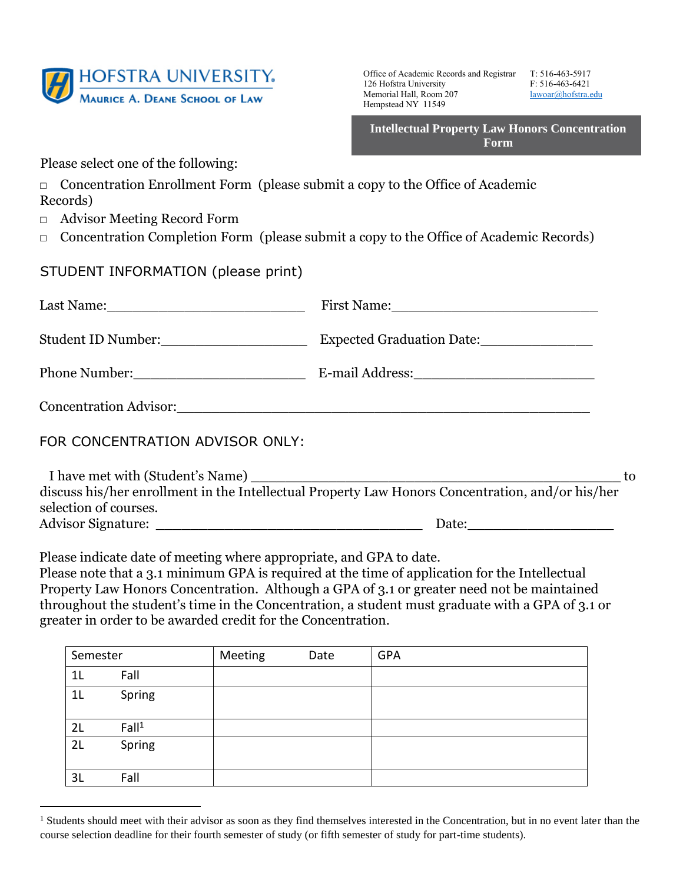

Office of Academic Records and Registrar T: 516-463-5917 126 Hofstra University F: 516-463-6421 Memorial Hall, Room 207 lawoar@hofstra.edu Hempstead NY 11549

**Intellectual Property Law Honors Concentration Form** 

Please select one of the following:

- $\Box$  Concentration Enrollment Form (please submit a copy to the Office of Academic Records)
- □ Advisor Meeting Record Form
- □ Concentration Completion Form (please submit a copy to the Office of Academic Records)

## STUDENT INFORMATION (please print)

| Concentration Advisor: 2008 and 2008 and 2008 and 2008 and 2008 and 2008 and 2008 and 2008 and 2008 and 2008 and 2008 and 2008 and 2008 and 2008 and 2008 and 2008 and 2008 and 2008 and 2008 and 2008 and 2008 and 2008 and 2 |                                                                                                                                                                                                                                                                                                                                                                                                                                                            |  |  |
|--------------------------------------------------------------------------------------------------------------------------------------------------------------------------------------------------------------------------------|------------------------------------------------------------------------------------------------------------------------------------------------------------------------------------------------------------------------------------------------------------------------------------------------------------------------------------------------------------------------------------------------------------------------------------------------------------|--|--|
| FOR CONCENTRATION ADVISOR ONLY:                                                                                                                                                                                                |                                                                                                                                                                                                                                                                                                                                                                                                                                                            |  |  |
|                                                                                                                                                                                                                                | $\mathbf{P} = \mathbf{P} \cdot \mathbf{P} = \mathbf{P} \cdot \mathbf{P} = \mathbf{P} \cdot \mathbf{P} + \mathbf{P} \cdot \mathbf{P} + \mathbf{P} \cdot \mathbf{P} + \mathbf{P} \cdot \mathbf{P} + \mathbf{P} \cdot \mathbf{P} + \mathbf{P} \cdot \mathbf{P} + \mathbf{P} \cdot \mathbf{P} + \mathbf{P} \cdot \mathbf{P} + \mathbf{P} \cdot \mathbf{P} + \mathbf{P} \cdot \mathbf{P} + \mathbf{P} \cdot \mathbf{P} + \mathbf{P} \cdot \mathbf{P} + \mathbf$ |  |  |

discuss his/her enrollment in the Intellectual Property Law Honors Concentration, and/or his/her selection of courses. Advisor Signature: \_\_\_\_\_\_\_\_\_\_\_\_\_\_\_\_\_\_\_\_\_\_\_\_\_\_\_\_\_\_\_ Date:\_\_\_\_\_\_\_\_\_\_\_\_\_\_\_\_\_

Please indicate date of meeting where appropriate, and GPA to date.

Please note that a 3.1 minimum GPA is required at the time of application for the Intellectual Property Law Honors Concentration. Although a GPA of 3.1 or greater need not be maintained throughout the student's time in the Concentration, a student must graduate with a GPA of 3.1 or greater in order to be awarded credit for the Concentration.

| Semester       |                   | Meeting | Date | <b>GPA</b> |
|----------------|-------------------|---------|------|------------|
| 1 <sub>L</sub> | Fall              |         |      |            |
| 1 <sub>L</sub> | Spring            |         |      |            |
| 2L             | Fall <sup>1</sup> |         |      |            |
| 2L             | Spring            |         |      |            |
| 3L             | Fall              |         |      |            |

<sup>&</sup>lt;sup>1</sup> Students should meet with their advisor as soon as they find themselves interested in the Concentration, but in no event later than the course selection deadline for their fourth semester of study (or fifth semester of study for part-time students).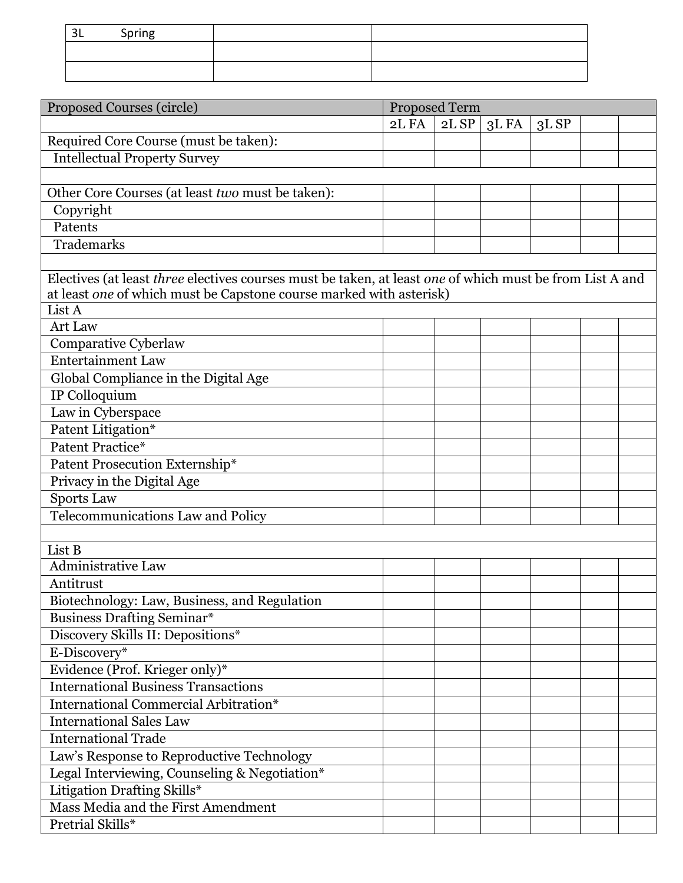| ર<br>ັບເ | <b>Corina</b><br>. |  |
|----------|--------------------|--|
|          |                    |  |
|          |                    |  |

| Proposed Courses (circle)                                                                                | Proposed Term |      |      |      |  |  |  |  |
|----------------------------------------------------------------------------------------------------------|---------------|------|------|------|--|--|--|--|
|                                                                                                          | 2L FA         | 2LSP | 3LFA | 3LSP |  |  |  |  |
| Required Core Course (must be taken):                                                                    |               |      |      |      |  |  |  |  |
| <b>Intellectual Property Survey</b>                                                                      |               |      |      |      |  |  |  |  |
|                                                                                                          |               |      |      |      |  |  |  |  |
| Other Core Courses (at least two must be taken):                                                         |               |      |      |      |  |  |  |  |
| Copyright                                                                                                |               |      |      |      |  |  |  |  |
| Patents                                                                                                  |               |      |      |      |  |  |  |  |
| Trademarks                                                                                               |               |      |      |      |  |  |  |  |
|                                                                                                          |               |      |      |      |  |  |  |  |
| Electives (at least three electives courses must be taken, at least one of which must be from List A and |               |      |      |      |  |  |  |  |
| at least one of which must be Capstone course marked with asterisk)                                      |               |      |      |      |  |  |  |  |
| List A                                                                                                   |               |      |      |      |  |  |  |  |
| Art Law                                                                                                  |               |      |      |      |  |  |  |  |
| Comparative Cyberlaw                                                                                     |               |      |      |      |  |  |  |  |
| <b>Entertainment Law</b>                                                                                 |               |      |      |      |  |  |  |  |
| Global Compliance in the Digital Age                                                                     |               |      |      |      |  |  |  |  |
| IP Colloquium                                                                                            |               |      |      |      |  |  |  |  |
| Law in Cyberspace                                                                                        |               |      |      |      |  |  |  |  |
| Patent Litigation*                                                                                       |               |      |      |      |  |  |  |  |
| Patent Practice*                                                                                         |               |      |      |      |  |  |  |  |
| Patent Prosecution Externship*                                                                           |               |      |      |      |  |  |  |  |
| Privacy in the Digital Age                                                                               |               |      |      |      |  |  |  |  |
| <b>Sports Law</b>                                                                                        |               |      |      |      |  |  |  |  |
| Telecommunications Law and Policy                                                                        |               |      |      |      |  |  |  |  |
|                                                                                                          |               |      |      |      |  |  |  |  |
| List B                                                                                                   |               |      |      |      |  |  |  |  |
| <b>Administrative Law</b>                                                                                |               |      |      |      |  |  |  |  |
| Antitrust                                                                                                |               |      |      |      |  |  |  |  |
| Biotechnology: Law, Business, and Regulation                                                             |               |      |      |      |  |  |  |  |
| <b>Business Drafting Seminar*</b>                                                                        |               |      |      |      |  |  |  |  |
| Discovery Skills II: Depositions*                                                                        |               |      |      |      |  |  |  |  |
| E-Discovery*                                                                                             |               |      |      |      |  |  |  |  |
| Evidence (Prof. Krieger only)*                                                                           |               |      |      |      |  |  |  |  |
| <b>International Business Transactions</b>                                                               |               |      |      |      |  |  |  |  |
| <b>International Commercial Arbitration*</b>                                                             |               |      |      |      |  |  |  |  |
| <b>International Sales Law</b>                                                                           |               |      |      |      |  |  |  |  |
| <b>International Trade</b>                                                                               |               |      |      |      |  |  |  |  |
| Law's Response to Reproductive Technology                                                                |               |      |      |      |  |  |  |  |
| Legal Interviewing, Counseling & Negotiation*                                                            |               |      |      |      |  |  |  |  |
| Litigation Drafting Skills*                                                                              |               |      |      |      |  |  |  |  |
| Mass Media and the First Amendment                                                                       |               |      |      |      |  |  |  |  |
| Pretrial Skills*                                                                                         |               |      |      |      |  |  |  |  |